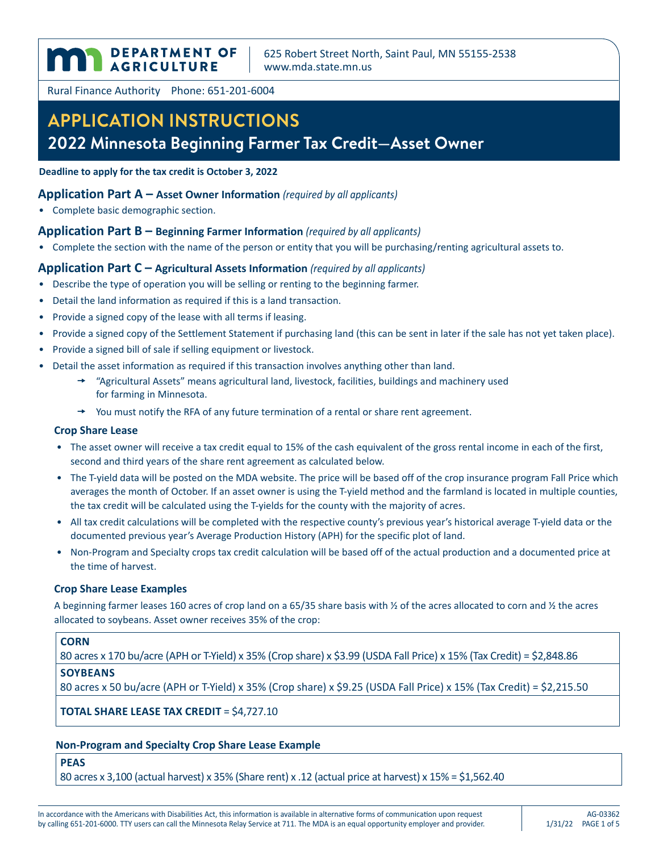DEPARTMENT OF

625 Robert Street North, Saint Paul, MN 55155-2538 <www.mda.state.mn.us>

Rural Finance Authority Phone: 651-201-6004

# **APPLICATION INSTRUCTIONS 2022 Minnesota Beginning Farmer Tax Credit—Asset Owner**

**Deadline to apply for the tax credit is October 3, 2022**

## **Application Part A – Asset Owner Information** *(required by all applicants)*

• Complete basic demographic section.

## **Application Part B – Beginning Farmer Information** *(required by all applicants)*

• Complete the section with the name of the person or entity that you will be purchasing/renting agricultural assets to.

## **Application Part C – Agricultural Assets Information** *(required by all applicants)*

- Describe the type of operation you will be selling or renting to the beginning farmer.
- Detail the land information as required if this is a land transaction.
- Provide a signed copy of the lease with all terms if leasing.
- Provide a signed copy of the Settlement Statement if purchasing land (this can be sent in later if the sale has not yet taken place).
- Provide a signed bill of sale if selling equipment or livestock.
- Detail the asset information as required if this transaction involves anything other than land.
	- $\rightarrow$  "Agricultural Assets" means agricultural land, livestock, facilities, buildings and machinery used for farming in Minnesota.
	- $\rightarrow$  You must notify the RFA of any future termination of a rental or share rent agreement.

### **Crop Share Lease**

- The asset owner will receive a tax credit equal to 15% of the cash equivalent of the gross rental income in each of the first, second and third years of the share rent agreement as calculated below.
- The T-yield data will be posted on the MDA website. The price will be based off of the crop insurance program Fall Price which averages the month of October. If an asset owner is using the T-yield method and the farmland is located in multiple counties, the tax credit will be calculated using the T-yields for the county with the majority of acres.
- All tax credit calculations will be completed with the respective county's previous year's historical average T-yield data or the documented previous year's Average Production History (APH) for the specific plot of land.
- Non-Program and Specialty crops tax credit calculation will be based off of the actual production and a documented price at the time of harvest.

## **Crop Share Lease Examples**

A beginning farmer leases 160 acres of crop land on a 65/35 share basis with ½ of the acres allocated to corn and ½ the acres allocated to soybeans. Asset owner receives 35% of the crop:

## **CORN**

80 acres x 170 bu/acre (APH or T-Yield) x 35% (Crop share) x \$3.99 (USDA Fall Price) x 15% (Tax Credit) = \$2,848.86

## **SOYBEANS**

80 acres x 50 bu/acre (APH or T-Yield) x 35% (Crop share) x \$9.25 (USDA Fall Price) x 15% (Tax Credit) = \$2,215.50

**TOTAL SHARE LEASE TAX CREDIT** = \$4,727.10

## **Non-Program and Specialty Crop Share Lease Example**

**PEAS**

80 acres x 3,100 (actual harvest) x 35% (Share rent) x .12 (actual price at harvest) x 15% = \$1,562.40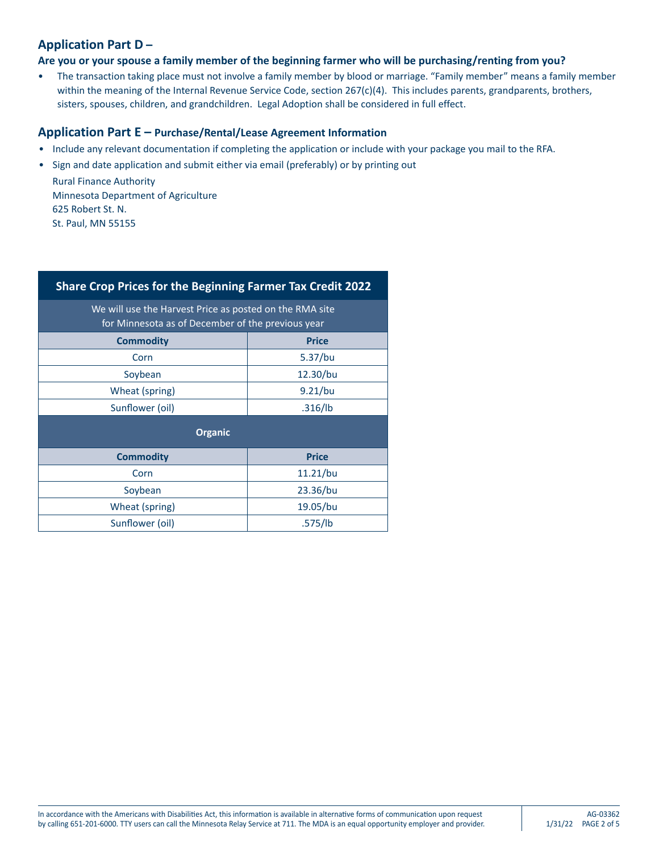## **Application Part D –**

## **Are you or your spouse a family member of the beginning farmer who will be purchasing/renting from you?**

• The transaction taking place must not involve a family member by blood or marriage. "Family member" means a family member within the meaning of the Internal Revenue Service Code, section 267(c)(4). This includes parents, grandparents, brothers, sisters, spouses, children, and grandchildren. Legal Adoption shall be considered in full effect.

## **Application Part E – Purchase/Rental/Lease Agreement Information**

- Include any relevant documentation if completing the application or include with your package you mail to the RFA.
- Sign and date application and submit either via email (preferably) or by printing out

Rural Finance Authority Minnesota Department of Agriculture 625 Robert St. N. St. Paul, MN 55155

| Share Crop Prices for the Beginning Farmer Tax Credit 2022                                                   |              |  |  |  |  |  |  |
|--------------------------------------------------------------------------------------------------------------|--------------|--|--|--|--|--|--|
| We will use the Harvest Price as posted on the RMA site<br>for Minnesota as of December of the previous year |              |  |  |  |  |  |  |
| <b>Commodity</b>                                                                                             | <b>Price</b> |  |  |  |  |  |  |
| Corn                                                                                                         | $5.37$ /bu   |  |  |  |  |  |  |
| Soybean                                                                                                      | 12.30/bu     |  |  |  |  |  |  |
| Wheat (spring)                                                                                               | 9.21/bu      |  |  |  |  |  |  |
| Sunflower (oil)                                                                                              | .316/lb      |  |  |  |  |  |  |
| <b>Organic</b>                                                                                               |              |  |  |  |  |  |  |
| <b>Commodity</b>                                                                                             | <b>Price</b> |  |  |  |  |  |  |
| Corn                                                                                                         | 11.21/bu     |  |  |  |  |  |  |
| Soybean                                                                                                      | 23.36/bu     |  |  |  |  |  |  |
| Wheat (spring)                                                                                               | 19.05/bu     |  |  |  |  |  |  |
| Sunflower (oil)                                                                                              | .575/lb      |  |  |  |  |  |  |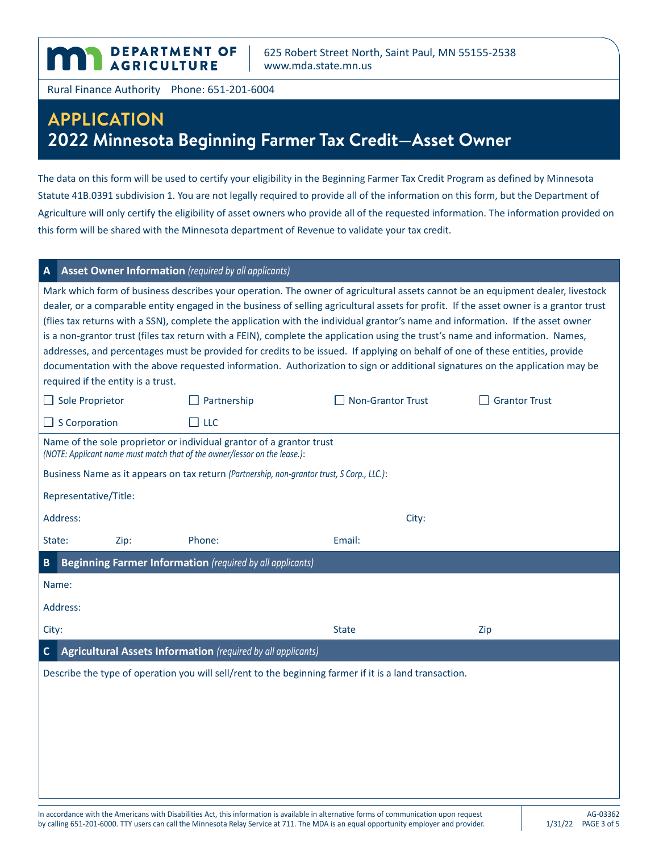625 Robert Street North, Saint Paul, MN 55155-2538 <www.mda.state.mn.us>

Rural Finance Authority Phone: 651-201-6004

**DEPARTMENT OF AGRICULTURE** 

## **APPLICATION 2022 Minnesota Beginning Farmer Tax Credit—Asset Owner**

The data on this form will be used to certify your eligibility in the Beginning Farmer Tax Credit Program as defined by Minnesota Statute 41B.0391 subdivision 1. You are not legally required to provide all of the information on this form, but the Department of Agriculture will only certify the eligibility of asset owners who provide all of the requested information. The information provided on this form will be shared with the Minnesota department of Revenue to validate your tax credit.

## **A Asset Owner Information** *(required by all applicants)*

Mark which form of business describes your operation. The owner of agricultural assets cannot be an equipment dealer, livestock dealer, or a comparable entity engaged in the business of selling agricultural assets for profit. If the asset owner is a grantor trust (flies tax returns with a SSN), complete the application with the individual grantor's name and information. If the asset owner is a non-grantor trust (files tax return with a FEIN), complete the application using the trust's name and information. Names, addresses, and percentages must be provided for credits to be issued. If applying on behalf of one of these entities, provide documentation with the above requested information. Authorization to sign or additional signatures on the application may be required if the entity is a trust.

| $\Box$ Sole Proprietor                                                                                                                   |                                                                                            | $\Box$ Partnership                                                                                                                                | $\Box$ Non-Grantor Trust | <b>Grantor Trust</b> |  |  |  |  |
|------------------------------------------------------------------------------------------------------------------------------------------|--------------------------------------------------------------------------------------------|---------------------------------------------------------------------------------------------------------------------------------------------------|--------------------------|----------------------|--|--|--|--|
| $\Box$ S Corporation                                                                                                                     |                                                                                            | $\Box$ LLC                                                                                                                                        |                          |                      |  |  |  |  |
|                                                                                                                                          |                                                                                            | Name of the sole proprietor or individual grantor of a grantor trust<br>(NOTE: Applicant name must match that of the owner/lessor on the lease.): |                          |                      |  |  |  |  |
|                                                                                                                                          | Business Name as it appears on tax return (Partnership, non-grantor trust, S Corp., LLC.): |                                                                                                                                                   |                          |                      |  |  |  |  |
| Representative/Title:                                                                                                                    |                                                                                            |                                                                                                                                                   |                          |                      |  |  |  |  |
| Address:                                                                                                                                 |                                                                                            |                                                                                                                                                   | City:                    |                      |  |  |  |  |
| State:                                                                                                                                   | Zip:                                                                                       | Phone:                                                                                                                                            | Email:                   |                      |  |  |  |  |
| B                                                                                                                                        | <b>Beginning Farmer Information</b> (required by all applicants)                           |                                                                                                                                                   |                          |                      |  |  |  |  |
| Name:                                                                                                                                    |                                                                                            |                                                                                                                                                   |                          |                      |  |  |  |  |
| Address:                                                                                                                                 |                                                                                            |                                                                                                                                                   |                          |                      |  |  |  |  |
| City:                                                                                                                                    |                                                                                            |                                                                                                                                                   | <b>State</b>             | Zip                  |  |  |  |  |
| Agricultural Assets Information (required by all applicants)<br>$\mathbf{C}$                                                             |                                                                                            |                                                                                                                                                   |                          |                      |  |  |  |  |
| Describe the type of operation you will sell/rent to the beginning farmer if it is a land transaction.                                   |                                                                                            |                                                                                                                                                   |                          |                      |  |  |  |  |
|                                                                                                                                          |                                                                                            |                                                                                                                                                   |                          |                      |  |  |  |  |
|                                                                                                                                          |                                                                                            |                                                                                                                                                   |                          |                      |  |  |  |  |
|                                                                                                                                          |                                                                                            |                                                                                                                                                   |                          |                      |  |  |  |  |
|                                                                                                                                          |                                                                                            |                                                                                                                                                   |                          |                      |  |  |  |  |
|                                                                                                                                          |                                                                                            |                                                                                                                                                   |                          |                      |  |  |  |  |
| In accordance with the Americans with Disabilities Act, this information is available in alternative forms of communication upon request |                                                                                            |                                                                                                                                                   |                          |                      |  |  |  |  |
|                                                                                                                                          |                                                                                            |                                                                                                                                                   |                          | AG-03362             |  |  |  |  |

by calling 651-201-6000. TTY users can call the Minnesota Relay Service at 711. The MDA is an equal opportunity employer and provider.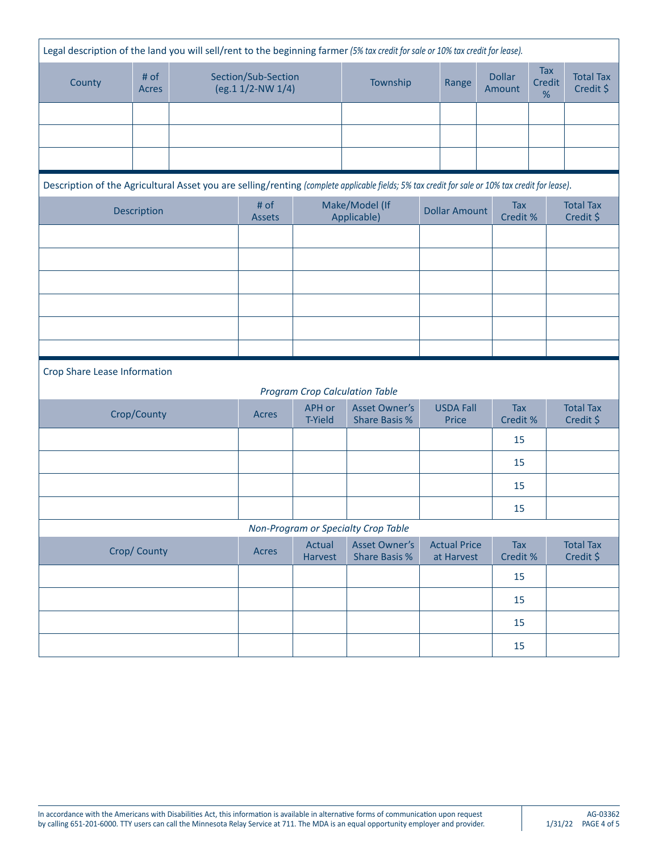| Legal description of the land you will sell/rent to the beginning farmer (5% tax credit for sale or 10% tax credit for lease). |                                                                                                                                                 |                                          |                               |                                 |                                              |       |                                   |                        |                               |                               |
|--------------------------------------------------------------------------------------------------------------------------------|-------------------------------------------------------------------------------------------------------------------------------------------------|------------------------------------------|-------------------------------|---------------------------------|----------------------------------------------|-------|-----------------------------------|------------------------|-------------------------------|-------------------------------|
| County                                                                                                                         | $#$ of<br>Acres                                                                                                                                 | Section/Sub-Section<br>(eg.1 1/2-NW 1/4) |                               | Township                        |                                              | Range | <b>Dollar</b><br>Amount           | Tax<br>Credit<br>$\%$  | <b>Total Tax</b><br>Credit \$ |                               |
|                                                                                                                                |                                                                                                                                                 |                                          |                               |                                 |                                              |       |                                   |                        |                               |                               |
|                                                                                                                                |                                                                                                                                                 |                                          |                               |                                 |                                              |       |                                   |                        |                               |                               |
|                                                                                                                                |                                                                                                                                                 |                                          |                               |                                 |                                              |       |                                   |                        |                               |                               |
|                                                                                                                                | Description of the Agricultural Asset you are selling/renting (complete applicable fields; 5% tax credit for sale or 10% tax credit for lease). |                                          |                               |                                 |                                              |       |                                   |                        |                               |                               |
| Description                                                                                                                    |                                                                                                                                                 | # of<br><b>Assets</b>                    | Make/Model (If<br>Applicable) |                                 | <b>Dollar Amount</b>                         |       | <b>Tax</b><br>Credit %            |                        | <b>Total Tax</b><br>Credit \$ |                               |
|                                                                                                                                |                                                                                                                                                 |                                          |                               |                                 |                                              |       |                                   |                        |                               |                               |
|                                                                                                                                |                                                                                                                                                 |                                          |                               |                                 |                                              |       |                                   |                        |                               |                               |
|                                                                                                                                |                                                                                                                                                 |                                          |                               |                                 |                                              |       |                                   |                        |                               |                               |
|                                                                                                                                |                                                                                                                                                 |                                          |                               |                                 |                                              |       |                                   |                        |                               |                               |
|                                                                                                                                |                                                                                                                                                 |                                          |                               |                                 |                                              |       |                                   |                        |                               |                               |
|                                                                                                                                |                                                                                                                                                 |                                          |                               |                                 |                                              |       |                                   |                        |                               |                               |
| Crop Share Lease Information<br><b>Program Crop Calculation Table</b>                                                          |                                                                                                                                                 |                                          |                               |                                 |                                              |       |                                   |                        |                               |                               |
|                                                                                                                                | Crop/County                                                                                                                                     |                                          | Acres                         | <b>APH or</b><br><b>T-Yield</b> | <b>Asset Owner's</b><br><b>Share Basis %</b> |       | <b>USDA Fall</b><br>Price         | <b>Tax</b><br>Credit % |                               | <b>Total Tax</b><br>Credit \$ |
|                                                                                                                                |                                                                                                                                                 |                                          |                               |                                 |                                              |       |                                   | 15                     |                               |                               |
|                                                                                                                                |                                                                                                                                                 |                                          |                               |                                 |                                              |       |                                   | 15                     |                               |                               |
|                                                                                                                                |                                                                                                                                                 |                                          |                               |                                 |                                              |       |                                   | 15                     |                               |                               |
|                                                                                                                                |                                                                                                                                                 |                                          |                               |                                 |                                              |       |                                   | 15                     |                               |                               |
| Non-Program or Specialty Crop Table                                                                                            |                                                                                                                                                 |                                          |                               |                                 |                                              |       |                                   |                        |                               |                               |
|                                                                                                                                | Crop/ County                                                                                                                                    |                                          | Acres                         | Actual<br><b>Harvest</b>        | <b>Asset Owner's</b><br><b>Share Basis %</b> |       | <b>Actual Price</b><br>at Harvest | Tax<br>Credit %        |                               | <b>Total Tax</b><br>Credit \$ |
|                                                                                                                                |                                                                                                                                                 |                                          |                               |                                 |                                              |       |                                   | 15                     |                               |                               |
|                                                                                                                                |                                                                                                                                                 |                                          |                               |                                 |                                              |       |                                   | 15                     |                               |                               |
|                                                                                                                                |                                                                                                                                                 |                                          |                               |                                 |                                              |       |                                   | 15                     |                               |                               |
|                                                                                                                                |                                                                                                                                                 |                                          |                               |                                 |                                              |       |                                   | 15                     |                               |                               |